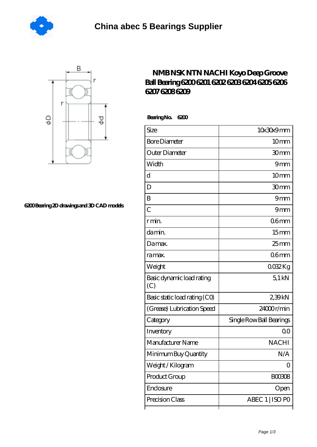



## **[6200 Bearing 2D drawings and 3D CAD models](https://jan-de-wilde.com/pic-824506.html)**

## **[NMB NSK NTN NACHI Koyo Deep Groove](https://jan-de-wilde.com/fag-6207-Bearing/nmb-nsk-ntn-nachi-koyo-deep-groove-ball-bearing-6200-6201-6202-6203-6204-6205-6206-6207-6208-6209.html) [Ball Bearing 6200 6201 6202 6203 6204 6205 6206](https://jan-de-wilde.com/fag-6207-Bearing/nmb-nsk-ntn-nachi-koyo-deep-groove-ball-bearing-6200-6201-6202-6203-6204-6205-6206-6207-6208-6209.html) [6207 6208 6209](https://jan-de-wilde.com/fag-6207-Bearing/nmb-nsk-ntn-nachi-koyo-deep-groove-ball-bearing-6200-6201-6202-6203-6204-6205-6206-6207-6208-6209.html)**

 **Bearing No. 6200**

| Size                             | 10x30x9mm                |
|----------------------------------|--------------------------|
| <b>Bore Diameter</b>             | 10 <sub>mm</sub>         |
| Outer Diameter                   | 30mm                     |
| Width                            | 9mm                      |
| d                                | 10 <sub>mm</sub>         |
| D                                | 30mm                     |
| B                                | 9mm                      |
| $\overline{C}$                   | 9mm                      |
| r min.                           | 06 <sub>mm</sub>         |
| da min.                          | 15 <sub>mm</sub>         |
| Damax.                           | $25 \text{mm}$           |
| ra max.                          | 06 <sub>mm</sub>         |
| Weight                           | 0032Kg                   |
| Basic dynamic load rating<br>(C) | $5.1$ kN                 |
| Basic static load rating (CO)    | 239kN                    |
| (Grease) Lubrication Speed       | 24000r/min               |
| Category                         | Single Row Ball Bearings |
| Inventory                        | 00                       |
| Manufacturer Name                | <b>NACHI</b>             |
| Minimum Buy Quantity             | N/A                      |
| Weight / Kilogram                | 0                        |
| Product Group                    | BOO3O8                   |
| Enclosure                        | Open                     |
| Precision Class                  | ABEC 1   ISO PO          |
|                                  |                          |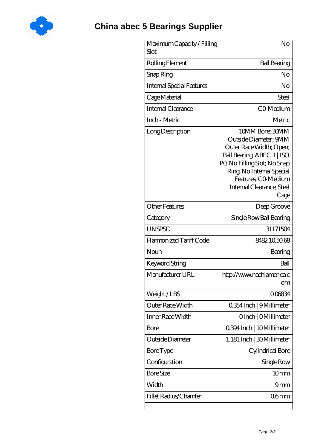

## **[China abec 5 Bearings Supplier](https://jan-de-wilde.com)**

| Maximum Capacity / Filling<br>Slot | No                                                                                                                                                                                                                        |
|------------------------------------|---------------------------------------------------------------------------------------------------------------------------------------------------------------------------------------------------------------------------|
| Rolling Element                    | <b>Ball Bearing</b>                                                                                                                                                                                                       |
| Snap Ring                          | No                                                                                                                                                                                                                        |
| <b>Internal Special Features</b>   | No                                                                                                                                                                                                                        |
| Cage Material                      | Steel                                                                                                                                                                                                                     |
| Internal Clearance                 | CO-Medium                                                                                                                                                                                                                 |
| Inch - Metric                      | Metric                                                                                                                                                                                                                    |
| Long Description                   | 10MM Bore; 30MM<br>Outside Diameter; 9MM<br>Outer Race Width; Open;<br>Ball Bearing, ABEC 1   ISO<br>PQ No Filling Slot; No Snap<br>Ring, No Internal Special<br>Features; CO-Medium<br>Internal Clearance; Steel<br>Cage |
| <b>Other Features</b>              | Deep Groove                                                                                                                                                                                                               |
| Category                           | Single Row Ball Bearing                                                                                                                                                                                                   |
| <b>UNSPSC</b>                      | 31171504                                                                                                                                                                                                                  |
| Harmonized Tariff Code             | 8482.105068                                                                                                                                                                                                               |
| Noun                               | Bearing                                                                                                                                                                                                                   |
| Keyword String                     | Ball                                                                                                                                                                                                                      |
| Manufacturer URL                   | http://www.nachiamerica.c<br><b>om</b>                                                                                                                                                                                    |
| Weight/LBS                         | 006834                                                                                                                                                                                                                    |
| Outer Race Width                   | 0.354 Inch   9 Millimeter                                                                                                                                                                                                 |
| Inner Race Width                   | OInch   OMillimeter                                                                                                                                                                                                       |
| Bore                               | 0.394 Inch   10 Millimeter                                                                                                                                                                                                |
| Outside Diameter                   | 1.181 Inch   30 Millimeter                                                                                                                                                                                                |
| Bore Type                          | Cylindrical Bore                                                                                                                                                                                                          |
| Configuration                      | Single Row                                                                                                                                                                                                                |
| <b>Bore Size</b>                   | 10mm                                                                                                                                                                                                                      |
| Width                              | 9mm                                                                                                                                                                                                                       |
| Fillet Radius/Chamfer              | 06 <sub>mm</sub>                                                                                                                                                                                                          |
|                                    |                                                                                                                                                                                                                           |